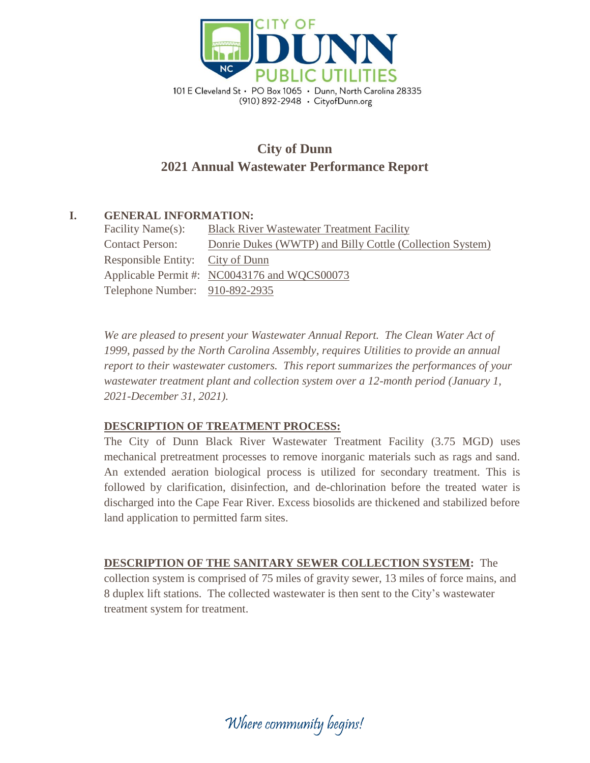

# **City of Dunn 2021 Annual Wastewater Performance Report**

## **I. GENERAL INFORMATION:**

| Facility Name(s):                | <b>Black River Wastewater Treatment Facility</b>         |  |  |
|----------------------------------|----------------------------------------------------------|--|--|
| <b>Contact Person:</b>           | Donrie Dukes (WWTP) and Billy Cottle (Collection System) |  |  |
| Responsible Entity: City of Dunn |                                                          |  |  |
|                                  | Applicable Permit #: NC0043176 and WQCS00073             |  |  |
| Telephone Number: 910-892-2935   |                                                          |  |  |

*We are pleased to present your Wastewater Annual Report. The Clean Water Act of 1999, passed by the North Carolina Assembly, requires Utilities to provide an annual report to their wastewater customers. This report summarizes the performances of your wastewater treatment plant and collection system over a 12-month period (January 1, 2021-December 31, 2021).*

## **DESCRIPTION OF TREATMENT PROCESS:**

The City of Dunn Black River Wastewater Treatment Facility (3.75 MGD) uses mechanical pretreatment processes to remove inorganic materials such as rags and sand. An extended aeration biological process is utilized for secondary treatment. This is followed by clarification, disinfection, and de-chlorination before the treated water is discharged into the Cape Fear River. Excess biosolids are thickened and stabilized before land application to permitted farm sites.

**DESCRIPTION OF THE SANITARY SEWER COLLECTION SYSTEM:** The collection system is comprised of 75 miles of gravity sewer, 13 miles of force mains, and 8 duplex lift stations. The collected wastewater is then sent to the City's wastewater treatment system for treatment.

Where community begins!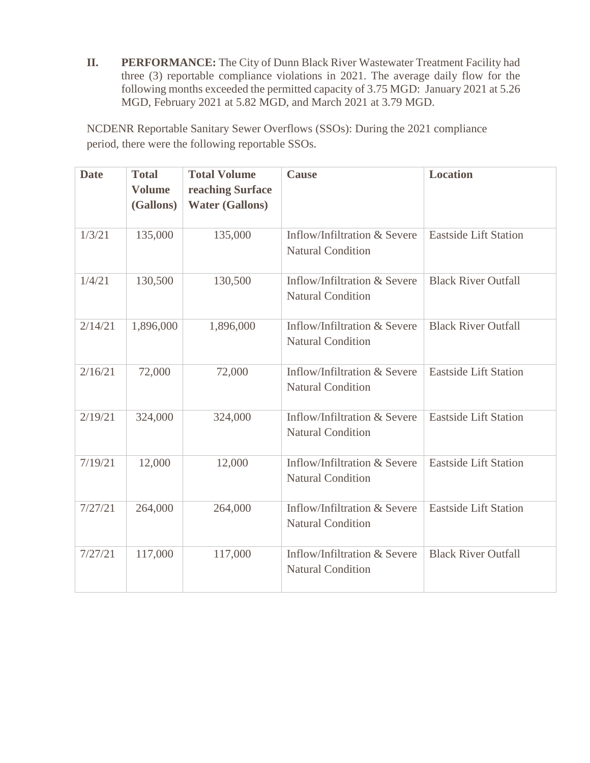**II. PERFORMANCE:** The City of Dunn Black River Wastewater Treatment Facility had three (3) reportable compliance violations in 2021. The average daily flow for the following months exceeded the permitted capacity of 3.75 MGD: January 2021 at 5.26 MGD, February 2021 at 5.82 MGD, and March 2021 at 3.79 MGD.

NCDENR Reportable Sanitary Sewer Overflows (SSOs): During the 2021 compliance period, there were the following reportable SSOs.

| <b>Date</b> | <b>Total</b><br><b>Volume</b><br>(Gallons) | <b>Total Volume</b><br>reaching Surface<br><b>Water (Gallons)</b> | <b>Cause</b>                                             | <b>Location</b>              |
|-------------|--------------------------------------------|-------------------------------------------------------------------|----------------------------------------------------------|------------------------------|
| 1/3/21      | 135,000                                    | 135,000                                                           | Inflow/Infiltration & Severe<br><b>Natural Condition</b> | <b>Eastside Lift Station</b> |
| 1/4/21      | 130,500                                    | 130,500                                                           | Inflow/Infiltration & Severe<br><b>Natural Condition</b> | <b>Black River Outfall</b>   |
| 2/14/21     | 1,896,000                                  | 1,896,000                                                         | Inflow/Infiltration & Severe<br><b>Natural Condition</b> | <b>Black River Outfall</b>   |
| 2/16/21     | 72,000                                     | 72,000                                                            | Inflow/Infiltration & Severe<br><b>Natural Condition</b> | <b>Eastside Lift Station</b> |
| 2/19/21     | 324,000                                    | 324,000                                                           | Inflow/Infiltration & Severe<br><b>Natural Condition</b> | <b>Eastside Lift Station</b> |
| 7/19/21     | 12,000                                     | 12,000                                                            | Inflow/Infiltration & Severe<br><b>Natural Condition</b> | <b>Eastside Lift Station</b> |
| 7/27/21     | 264,000                                    | 264,000                                                           | Inflow/Infiltration & Severe<br><b>Natural Condition</b> | <b>Eastside Lift Station</b> |
| 7/27/21     | 117,000                                    | 117,000                                                           | Inflow/Infiltration & Severe<br><b>Natural Condition</b> | <b>Black River Outfall</b>   |